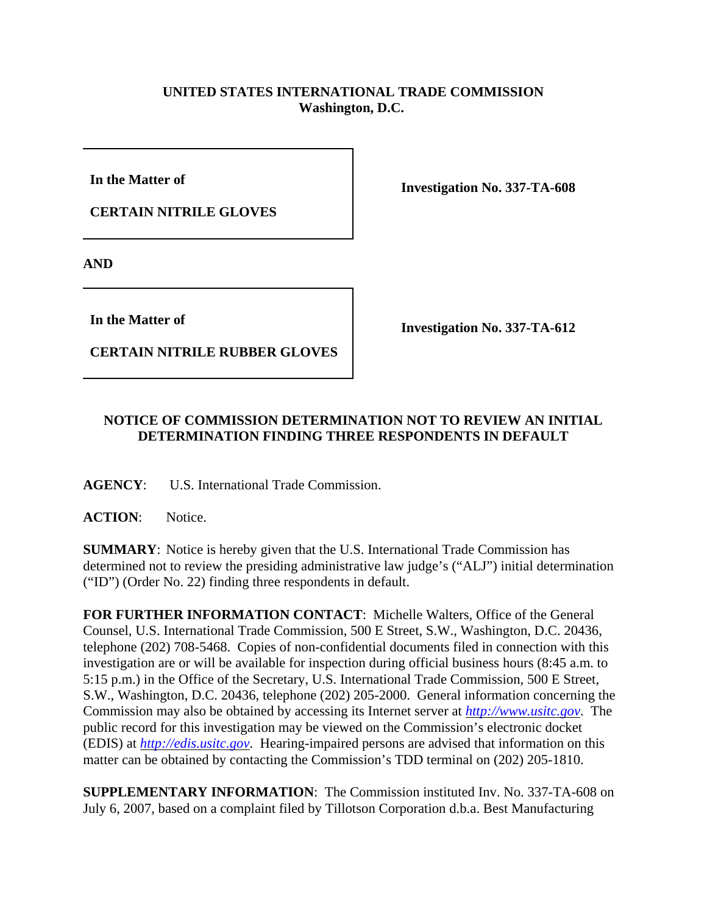## **UNITED STATES INTERNATIONAL TRADE COMMISSION Washington, D.C.**

**In the Matter of** 

**CERTAIN NITRILE GLOVES**

**Investigation No. 337-TA-608**

**AND**

**In the Matter of** 

**CERTAIN NITRILE RUBBER GLOVES**

**Investigation No. 337-TA-612**

## **NOTICE OF COMMISSION DETERMINATION NOT TO REVIEW AN INITIAL DETERMINATION FINDING THREE RESPONDENTS IN DEFAULT**

**AGENCY**: U.S. International Trade Commission.

**ACTION**: Notice.

**SUMMARY**: Notice is hereby given that the U.S. International Trade Commission has determined not to review the presiding administrative law judge's ("ALJ") initial determination ("ID") (Order No. 22) finding three respondents in default.

**FOR FURTHER INFORMATION CONTACT**: Michelle Walters, Office of the General Counsel, U.S. International Trade Commission, 500 E Street, S.W., Washington, D.C. 20436, telephone (202) 708-5468. Copies of non-confidential documents filed in connection with this investigation are or will be available for inspection during official business hours (8:45 a.m. to 5:15 p.m.) in the Office of the Secretary, U.S. International Trade Commission, 500 E Street, S.W., Washington, D.C. 20436, telephone (202) 205-2000. General information concerning the Commission may also be obtained by accessing its Internet server at *http://www.usitc.gov*. The public record for this investigation may be viewed on the Commission's electronic docket (EDIS) at *http://edis.usitc.gov*. Hearing-impaired persons are advised that information on this matter can be obtained by contacting the Commission's TDD terminal on (202) 205-1810.

**SUPPLEMENTARY INFORMATION**: The Commission instituted Inv. No. 337-TA-608 on July 6, 2007, based on a complaint filed by Tillotson Corporation d.b.a. Best Manufacturing